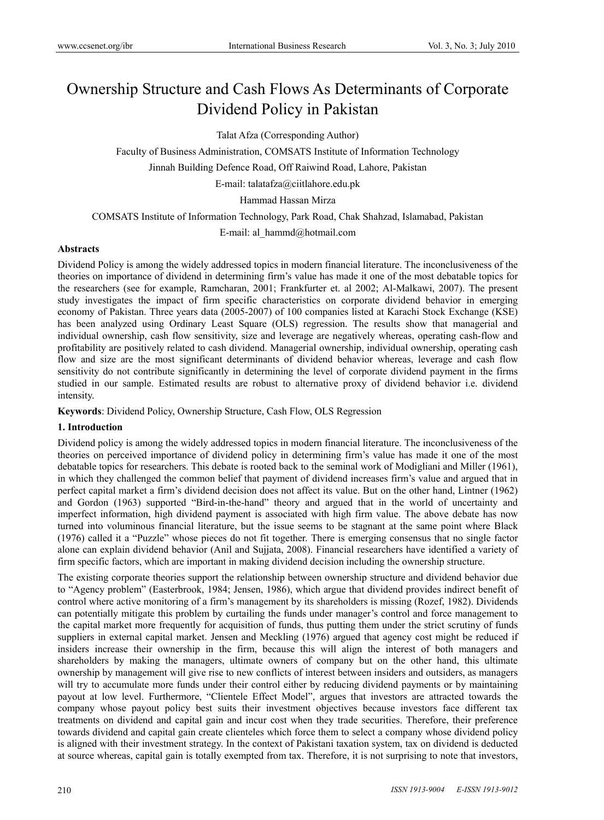# Ownership Structure and Cash Flows As Determinants of Corporate Dividend Policy in Pakistan

Talat Afza (Corresponding Author)

Faculty of Business Administration, COMSATS Institute of Information Technology Jinnah Building Defence Road, Off Raiwind Road, Lahore, Pakistan

E-mail: talatafza@ciitlahore.edu.pk

Hammad Hassan Mirza

COMSATS Institute of Information Technology, Park Road, Chak Shahzad, Islamabad, Pakistan

E-mail: al\_hammd@hotmail.com

#### **Abstracts**

Dividend Policy is among the widely addressed topics in modern financial literature. The inconclusiveness of the theories on importance of dividend in determining firm's value has made it one of the most debatable topics for the researchers (see for example, Ramcharan, 2001; Frankfurter et. al 2002; Al-Malkawi, 2007). The present study investigates the impact of firm specific characteristics on corporate dividend behavior in emerging economy of Pakistan. Three years data (2005-2007) of 100 companies listed at Karachi Stock Exchange (KSE) has been analyzed using Ordinary Least Square (OLS) regression. The results show that managerial and individual ownership, cash flow sensitivity, size and leverage are negatively whereas, operating cash-flow and profitability are positively related to cash dividend. Managerial ownership, individual ownership, operating cash flow and size are the most significant determinants of dividend behavior whereas, leverage and cash flow sensitivity do not contribute significantly in determining the level of corporate dividend payment in the firms studied in our sample. Estimated results are robust to alternative proxy of dividend behavior i.e. dividend intensity.

**Keywords**: Dividend Policy, Ownership Structure, Cash Flow, OLS Regression

# **1. Introduction**

Dividend policy is among the widely addressed topics in modern financial literature. The inconclusiveness of the theories on perceived importance of dividend policy in determining firm's value has made it one of the most debatable topics for researchers. This debate is rooted back to the seminal work of Modigliani and Miller (1961), in which they challenged the common belief that payment of dividend increases firm's value and argued that in perfect capital market a firm's dividend decision does not affect its value. But on the other hand, Lintner (1962) and Gordon (1963) supported "Bird-in-the-hand" theory and argued that in the world of uncertainty and imperfect information, high dividend payment is associated with high firm value. The above debate has now turned into voluminous financial literature, but the issue seems to be stagnant at the same point where Black (1976) called it a "Puzzle" whose pieces do not fit together. There is emerging consensus that no single factor alone can explain dividend behavior (Anil and Sujjata, 2008). Financial researchers have identified a variety of firm specific factors, which are important in making dividend decision including the ownership structure.

The existing corporate theories support the relationship between ownership structure and dividend behavior due to "Agency problem" (Easterbrook, 1984; Jensen, 1986), which argue that dividend provides indirect benefit of control where active monitoring of a firm's management by its shareholders is missing (Rozef, 1982). Dividends can potentially mitigate this problem by curtailing the funds under manager's control and force management to the capital market more frequently for acquisition of funds, thus putting them under the strict scrutiny of funds suppliers in external capital market. Jensen and Meckling (1976) argued that agency cost might be reduced if insiders increase their ownership in the firm, because this will align the interest of both managers and shareholders by making the managers, ultimate owners of company but on the other hand, this ultimate ownership by management will give rise to new conflicts of interest between insiders and outsiders, as managers will try to accumulate more funds under their control either by reducing dividend payments or by maintaining payout at low level. Furthermore, "Clientele Effect Model", argues that investors are attracted towards the company whose payout policy best suits their investment objectives because investors face different tax treatments on dividend and capital gain and incur cost when they trade securities. Therefore, their preference towards dividend and capital gain create clienteles which force them to select a company whose dividend policy is aligned with their investment strategy. In the context of Pakistani taxation system, tax on dividend is deducted at source whereas, capital gain is totally exempted from tax. Therefore, it is not surprising to note that investors,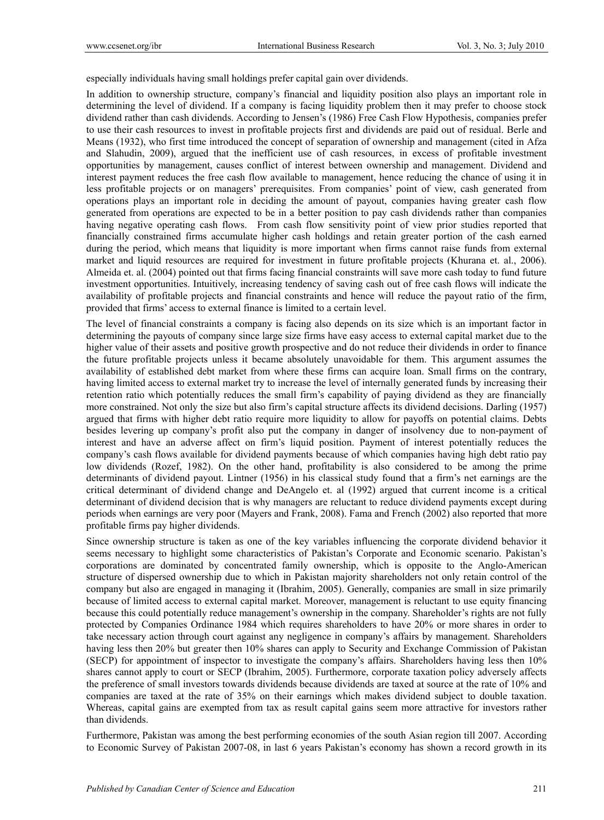especially individuals having small holdings prefer capital gain over dividends.

In addition to ownership structure, company's financial and liquidity position also plays an important role in determining the level of dividend. If a company is facing liquidity problem then it may prefer to choose stock dividend rather than cash dividends. According to Jensen's (1986) Free Cash Flow Hypothesis, companies prefer to use their cash resources to invest in profitable projects first and dividends are paid out of residual. Berle and Means (1932), who first time introduced the concept of separation of ownership and management (cited in Afza and Slahudin, 2009), argued that the inefficient use of cash resources, in excess of profitable investment opportunities by management, causes conflict of interest between ownership and management. Dividend and interest payment reduces the free cash flow available to management, hence reducing the chance of using it in less profitable projects or on managers' prerequisites. From companies' point of view, cash generated from operations plays an important role in deciding the amount of payout, companies having greater cash flow generated from operations are expected to be in a better position to pay cash dividends rather than companies having negative operating cash flows. From cash flow sensitivity point of view prior studies reported that financially constrained firms accumulate higher cash holdings and retain greater portion of the cash earned during the period, which means that liquidity is more important when firms cannot raise funds from external market and liquid resources are required for investment in future profitable projects (Khurana et. al., 2006). Almeida et. al. (2004) pointed out that firms facing financial constraints will save more cash today to fund future investment opportunities. Intuitively, increasing tendency of saving cash out of free cash flows will indicate the availability of profitable projects and financial constraints and hence will reduce the payout ratio of the firm, provided that firms' access to external finance is limited to a certain level.

The level of financial constraints a company is facing also depends on its size which is an important factor in determining the payouts of company since large size firms have easy access to external capital market due to the higher value of their assets and positive growth prospective and do not reduce their dividends in order to finance the future profitable projects unless it became absolutely unavoidable for them. This argument assumes the availability of established debt market from where these firms can acquire loan. Small firms on the contrary, having limited access to external market try to increase the level of internally generated funds by increasing their retention ratio which potentially reduces the small firm's capability of paying dividend as they are financially more constrained. Not only the size but also firm's capital structure affects its dividend decisions. Darling (1957) argued that firms with higher debt ratio require more liquidity to allow for payoffs on potential claims. Debts besides levering up company's profit also put the company in danger of insolvency due to non-payment of interest and have an adverse affect on firm's liquid position. Payment of interest potentially reduces the company's cash flows available for dividend payments because of which companies having high debt ratio pay low dividends (Rozef, 1982). On the other hand, profitability is also considered to be among the prime determinants of dividend payout. Lintner (1956) in his classical study found that a firm's net earnings are the critical determinant of dividend change and DeAngelo et. al (1992) argued that current income is a critical determinant of dividend decision that is why managers are reluctant to reduce dividend payments except during periods when earnings are very poor (Mayers and Frank, 2008). Fama and French (2002) also reported that more profitable firms pay higher dividends.

Since ownership structure is taken as one of the key variables influencing the corporate dividend behavior it seems necessary to highlight some characteristics of Pakistan's Corporate and Economic scenario. Pakistan's corporations are dominated by concentrated family ownership, which is opposite to the Anglo-American structure of dispersed ownership due to which in Pakistan majority shareholders not only retain control of the company but also are engaged in managing it (Ibrahim, 2005). Generally, companies are small in size primarily because of limited access to external capital market. Moreover, management is reluctant to use equity financing because this could potentially reduce management's ownership in the company. Shareholder's rights are not fully protected by Companies Ordinance 1984 which requires shareholders to have 20% or more shares in order to take necessary action through court against any negligence in company's affairs by management. Shareholders having less then 20% but greater then 10% shares can apply to Security and Exchange Commission of Pakistan (SECP) for appointment of inspector to investigate the company's affairs. Shareholders having less then 10% shares cannot apply to court or SECP (Ibrahim, 2005). Furthermore, corporate taxation policy adversely affects the preference of small investors towards dividends because dividends are taxed at source at the rate of 10% and companies are taxed at the rate of 35% on their earnings which makes dividend subject to double taxation. Whereas, capital gains are exempted from tax as result capital gains seem more attractive for investors rather than dividends.

Furthermore, Pakistan was among the best performing economies of the south Asian region till 2007. According to Economic Survey of Pakistan 2007-08, in last 6 years Pakistan's economy has shown a record growth in its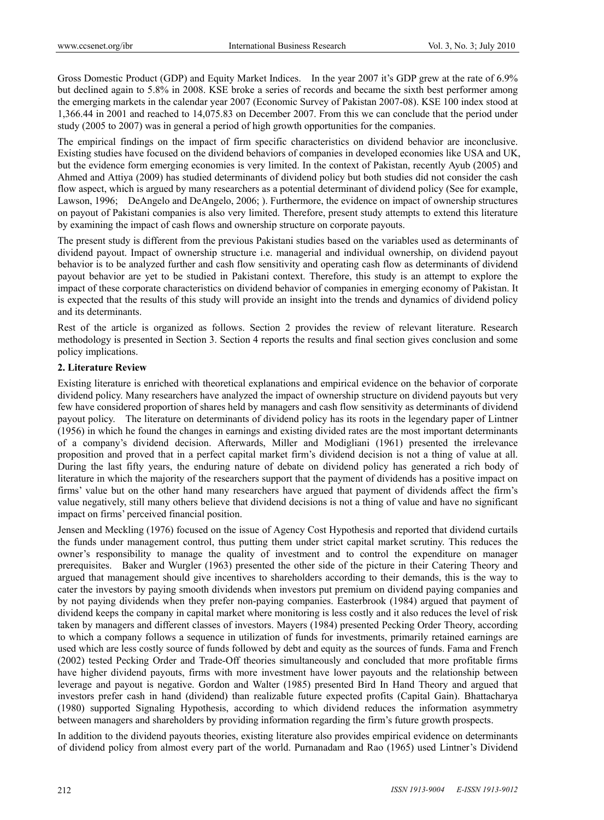Gross Domestic Product (GDP) and Equity Market Indices. In the year 2007 it's GDP grew at the rate of 6.9% but declined again to 5.8% in 2008. KSE broke a series of records and became the sixth best performer among the emerging markets in the calendar year 2007 (Economic Survey of Pakistan 2007-08). KSE 100 index stood at 1,366.44 in 2001 and reached to 14,075.83 on December 2007. From this we can conclude that the period under study (2005 to 2007) was in general a period of high growth opportunities for the companies.

The empirical findings on the impact of firm specific characteristics on dividend behavior are inconclusive. Existing studies have focused on the dividend behaviors of companies in developed economies like USA and UK, but the evidence form emerging economies is very limited. In the context of Pakistan, recently Ayub (2005) and Ahmed and Attiya (2009) has studied determinants of dividend policy but both studies did not consider the cash flow aspect, which is argued by many researchers as a potential determinant of dividend policy (See for example, Lawson, 1996; DeAngelo and DeAngelo, 2006; ). Furthermore, the evidence on impact of ownership structures on payout of Pakistani companies is also very limited. Therefore, present study attempts to extend this literature by examining the impact of cash flows and ownership structure on corporate payouts.

The present study is different from the previous Pakistani studies based on the variables used as determinants of dividend payout. Impact of ownership structure i.e. managerial and individual ownership, on dividend payout behavior is to be analyzed further and cash flow sensitivity and operating cash flow as determinants of dividend payout behavior are yet to be studied in Pakistani context. Therefore, this study is an attempt to explore the impact of these corporate characteristics on dividend behavior of companies in emerging economy of Pakistan. It is expected that the results of this study will provide an insight into the trends and dynamics of dividend policy and its determinants.

Rest of the article is organized as follows. Section 2 provides the review of relevant literature. Research methodology is presented in Section 3. Section 4 reports the results and final section gives conclusion and some policy implications.

### **2. Literature Review**

Existing literature is enriched with theoretical explanations and empirical evidence on the behavior of corporate dividend policy. Many researchers have analyzed the impact of ownership structure on dividend payouts but very few have considered proportion of shares held by managers and cash flow sensitivity as determinants of dividend payout policy. The literature on determinants of dividend policy has its roots in the legendary paper of Lintner (1956) in which he found the changes in earnings and existing divided rates are the most important determinants of a company's dividend decision. Afterwards, Miller and Modigliani (1961) presented the irrelevance proposition and proved that in a perfect capital market firm's dividend decision is not a thing of value at all. During the last fifty years, the enduring nature of debate on dividend policy has generated a rich body of literature in which the majority of the researchers support that the payment of dividends has a positive impact on firms' value but on the other hand many researchers have argued that payment of dividends affect the firm's value negatively, still many others believe that dividend decisions is not a thing of value and have no significant impact on firms' perceived financial position.

Jensen and Meckling (1976) focused on the issue of Agency Cost Hypothesis and reported that dividend curtails the funds under management control, thus putting them under strict capital market scrutiny. This reduces the owner's responsibility to manage the quality of investment and to control the expenditure on manager prerequisites. Baker and Wurgler (1963) presented the other side of the picture in their Catering Theory and argued that management should give incentives to shareholders according to their demands, this is the way to cater the investors by paying smooth dividends when investors put premium on dividend paying companies and by not paying dividends when they prefer non-paying companies. Easterbrook (1984) argued that payment of dividend keeps the company in capital market where monitoring is less costly and it also reduces the level of risk taken by managers and different classes of investors. Mayers (1984) presented Pecking Order Theory, according to which a company follows a sequence in utilization of funds for investments, primarily retained earnings are used which are less costly source of funds followed by debt and equity as the sources of funds. Fama and French (2002) tested Pecking Order and Trade-Off theories simultaneously and concluded that more profitable firms have higher dividend payouts, firms with more investment have lower payouts and the relationship between leverage and payout is negative. Gordon and Walter (1985) presented Bird In Hand Theory and argued that investors prefer cash in hand (dividend) than realizable future expected profits (Capital Gain). Bhattacharya (1980) supported Signaling Hypothesis, according to which dividend reduces the information asymmetry between managers and shareholders by providing information regarding the firm's future growth prospects.

In addition to the dividend payouts theories, existing literature also provides empirical evidence on determinants of dividend policy from almost every part of the world. Purnanadam and Rao (1965) used Lintner's Dividend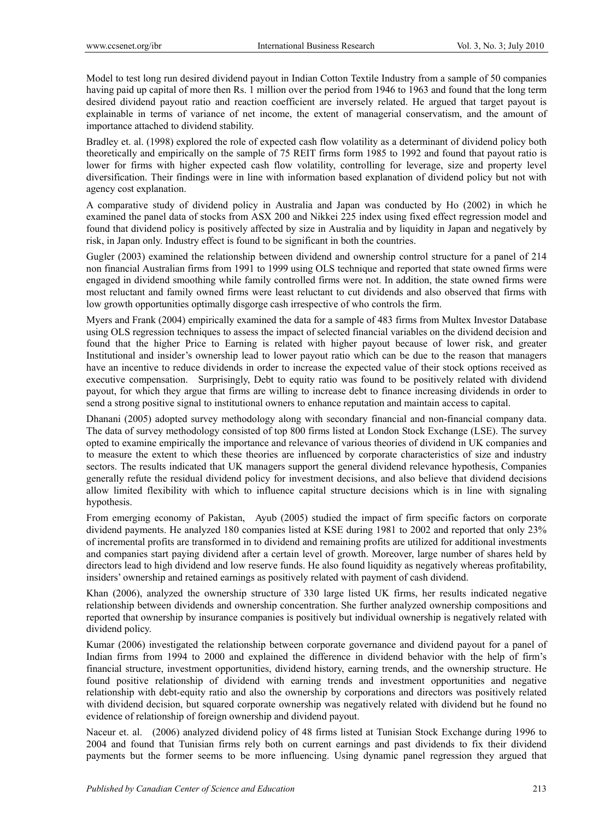Model to test long run desired dividend payout in Indian Cotton Textile Industry from a sample of 50 companies having paid up capital of more then Rs. 1 million over the period from 1946 to 1963 and found that the long term desired dividend payout ratio and reaction coefficient are inversely related. He argued that target payout is explainable in terms of variance of net income, the extent of managerial conservatism, and the amount of importance attached to dividend stability.

Bradley et. al. (1998) explored the role of expected cash flow volatility as a determinant of dividend policy both theoretically and empirically on the sample of 75 REIT firms form 1985 to 1992 and found that payout ratio is lower for firms with higher expected cash flow volatility, controlling for leverage, size and property level diversification. Their findings were in line with information based explanation of dividend policy but not with agency cost explanation.

A comparative study of dividend policy in Australia and Japan was conducted by Ho (2002) in which he examined the panel data of stocks from ASX 200 and Nikkei 225 index using fixed effect regression model and found that dividend policy is positively affected by size in Australia and by liquidity in Japan and negatively by risk, in Japan only. Industry effect is found to be significant in both the countries.

Gugler (2003) examined the relationship between dividend and ownership control structure for a panel of 214 non financial Australian firms from 1991 to 1999 using OLS technique and reported that state owned firms were engaged in dividend smoothing while family controlled firms were not. In addition, the state owned firms were most reluctant and family owned firms were least reluctant to cut dividends and also observed that firms with low growth opportunities optimally disgorge cash irrespective of who controls the firm.

Myers and Frank (2004) empirically examined the data for a sample of 483 firms from Multex Investor Database using OLS regression techniques to assess the impact of selected financial variables on the dividend decision and found that the higher Price to Earning is related with higher payout because of lower risk, and greater Institutional and insider's ownership lead to lower payout ratio which can be due to the reason that managers have an incentive to reduce dividends in order to increase the expected value of their stock options received as executive compensation. Surprisingly, Debt to equity ratio was found to be positively related with dividend payout, for which they argue that firms are willing to increase debt to finance increasing dividends in order to send a strong positive signal to institutional owners to enhance reputation and maintain access to capital.

Dhanani (2005) adopted survey methodology along with secondary financial and non-financial company data. The data of survey methodology consisted of top 800 firms listed at London Stock Exchange (LSE). The survey opted to examine empirically the importance and relevance of various theories of dividend in UK companies and to measure the extent to which these theories are influenced by corporate characteristics of size and industry sectors. The results indicated that UK managers support the general dividend relevance hypothesis, Companies generally refute the residual dividend policy for investment decisions, and also believe that dividend decisions allow limited flexibility with which to influence capital structure decisions which is in line with signaling hypothesis.

From emerging economy of Pakistan, Ayub (2005) studied the impact of firm specific factors on corporate dividend payments. He analyzed 180 companies listed at KSE during 1981 to 2002 and reported that only 23% of incremental profits are transformed in to dividend and remaining profits are utilized for additional investments and companies start paying dividend after a certain level of growth. Moreover, large number of shares held by directors lead to high dividend and low reserve funds. He also found liquidity as negatively whereas profitability, insiders' ownership and retained earnings as positively related with payment of cash dividend.

Khan (2006), analyzed the ownership structure of 330 large listed UK firms, her results indicated negative relationship between dividends and ownership concentration. She further analyzed ownership compositions and reported that ownership by insurance companies is positively but individual ownership is negatively related with dividend policy.

Kumar (2006) investigated the relationship between corporate governance and dividend payout for a panel of Indian firms from 1994 to 2000 and explained the difference in dividend behavior with the help of firm's financial structure, investment opportunities, dividend history, earning trends, and the ownership structure. He found positive relationship of dividend with earning trends and investment opportunities and negative relationship with debt-equity ratio and also the ownership by corporations and directors was positively related with dividend decision, but squared corporate ownership was negatively related with dividend but he found no evidence of relationship of foreign ownership and dividend payout.

Naceur et. al. (2006) analyzed dividend policy of 48 firms listed at Tunisian Stock Exchange during 1996 to 2004 and found that Tunisian firms rely both on current earnings and past dividends to fix their dividend payments but the former seems to be more influencing. Using dynamic panel regression they argued that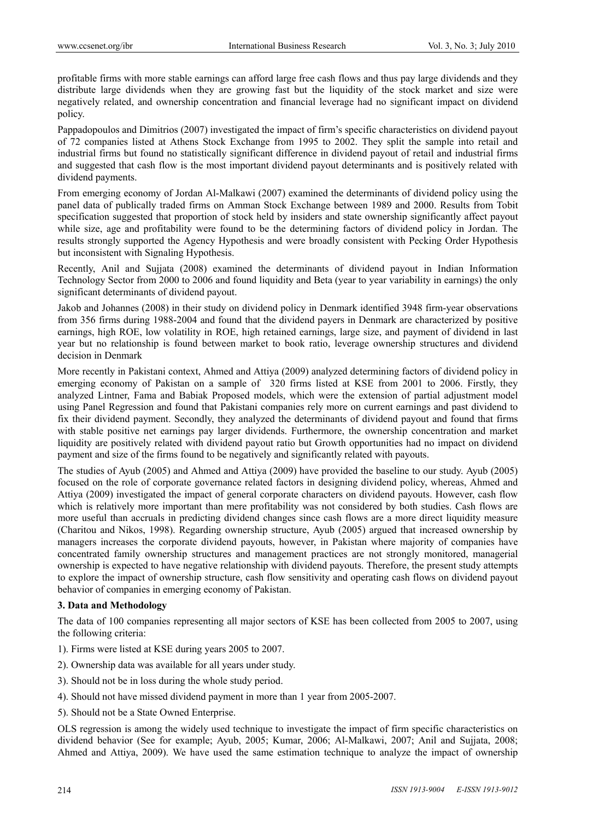profitable firms with more stable earnings can afford large free cash flows and thus pay large dividends and they distribute large dividends when they are growing fast but the liquidity of the stock market and size were negatively related, and ownership concentration and financial leverage had no significant impact on dividend policy.

Pappadopoulos and Dimitrios (2007) investigated the impact of firm's specific characteristics on dividend payout of 72 companies listed at Athens Stock Exchange from 1995 to 2002. They split the sample into retail and industrial firms but found no statistically significant difference in dividend payout of retail and industrial firms and suggested that cash flow is the most important dividend payout determinants and is positively related with dividend payments.

From emerging economy of Jordan Al-Malkawi (2007) examined the determinants of dividend policy using the panel data of publically traded firms on Amman Stock Exchange between 1989 and 2000. Results from Tobit specification suggested that proportion of stock held by insiders and state ownership significantly affect payout while size, age and profitability were found to be the determining factors of dividend policy in Jordan. The results strongly supported the Agency Hypothesis and were broadly consistent with Pecking Order Hypothesis but inconsistent with Signaling Hypothesis.

Recently, Anil and Sujjata (2008) examined the determinants of dividend payout in Indian Information Technology Sector from 2000 to 2006 and found liquidity and Beta (year to year variability in earnings) the only significant determinants of dividend payout.

Jakob and Johannes (2008) in their study on dividend policy in Denmark identified 3948 firm-year observations from 356 firms during 1988-2004 and found that the dividend payers in Denmark are characterized by positive earnings, high ROE, low volatility in ROE, high retained earnings, large size, and payment of dividend in last year but no relationship is found between market to book ratio, leverage ownership structures and dividend decision in Denmark

More recently in Pakistani context, Ahmed and Attiya (2009) analyzed determining factors of dividend policy in emerging economy of Pakistan on a sample of 320 firms listed at KSE from 2001 to 2006. Firstly, they analyzed Lintner, Fama and Babiak Proposed models, which were the extension of partial adjustment model using Panel Regression and found that Pakistani companies rely more on current earnings and past dividend to fix their dividend payment. Secondly, they analyzed the determinants of dividend payout and found that firms with stable positive net earnings pay larger dividends. Furthermore, the ownership concentration and market liquidity are positively related with dividend payout ratio but Growth opportunities had no impact on dividend payment and size of the firms found to be negatively and significantly related with payouts.

The studies of Ayub (2005) and Ahmed and Attiya (2009) have provided the baseline to our study. Ayub (2005) focused on the role of corporate governance related factors in designing dividend policy, whereas, Ahmed and Attiya (2009) investigated the impact of general corporate characters on dividend payouts. However, cash flow which is relatively more important than mere profitability was not considered by both studies. Cash flows are more useful than accruals in predicting dividend changes since cash flows are a more direct liquidity measure (Charitou and Nikos, 1998). Regarding ownership structure, Ayub (2005) argued that increased ownership by managers increases the corporate dividend payouts, however, in Pakistan where majority of companies have concentrated family ownership structures and management practices are not strongly monitored, managerial ownership is expected to have negative relationship with dividend payouts. Therefore, the present study attempts to explore the impact of ownership structure, cash flow sensitivity and operating cash flows on dividend payout behavior of companies in emerging economy of Pakistan.

### **3. Data and Methodology**

The data of 100 companies representing all major sectors of KSE has been collected from 2005 to 2007, using the following criteria:

- 1). Firms were listed at KSE during years 2005 to 2007.
- 2). Ownership data was available for all years under study.
- 3). Should not be in loss during the whole study period.
- 4). Should not have missed dividend payment in more than 1 year from 2005-2007.
- 5). Should not be a State Owned Enterprise.

OLS regression is among the widely used technique to investigate the impact of firm specific characteristics on dividend behavior (See for example; Ayub, 2005; Kumar, 2006; Al-Malkawi, 2007; Anil and Sujjata, 2008; Ahmed and Attiya, 2009). We have used the same estimation technique to analyze the impact of ownership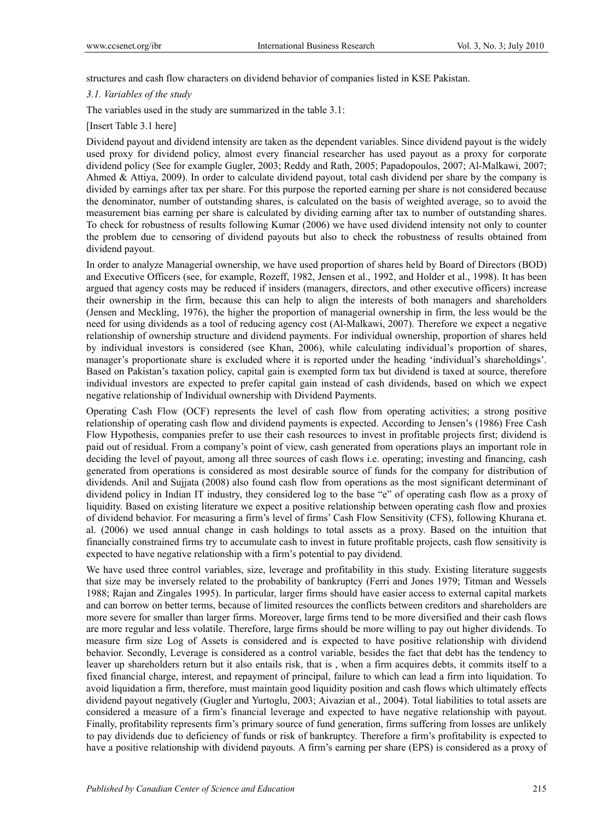structures and cash flow characters on dividend behavior of companies listed in KSE Pakistan.

#### *3.1. Variables of the study*

The variables used in the study are summarized in the table 3.1:

[Insert Table 3.1 here]

Dividend payout and dividend intensity are taken as the dependent variables. Since dividend payout is the widely used proxy for dividend policy, almost every financial researcher has used payout as a proxy for corporate dividend policy (See for example Gugler, 2003; Reddy and Rath, 2005; Papadopoulos, 2007; Al-Malkawi, 2007; Ahmed & Attiya, 2009). In order to calculate dividend payout, total cash dividend per share by the company is divided by earnings after tax per share. For this purpose the reported earning per share is not considered because the denominator, number of outstanding shares, is calculated on the basis of weighted average, so to avoid the measurement bias earning per share is calculated by dividing earning after tax to number of outstanding shares. To check for robustness of results following Kumar (2006) we have used dividend intensity not only to counter the problem due to censoring of dividend payouts but also to check the robustness of results obtained from dividend payout.

In order to analyze Managerial ownership, we have used proportion of shares held by Board of Directors (BOD) and Executive Officers (see, for example, Rozeff, 1982, Jensen et al., 1992, and Holder et al., 1998). It has been argued that agency costs may be reduced if insiders (managers, directors, and other executive officers) increase their ownership in the firm, because this can help to align the interests of both managers and shareholders (Jensen and Meckling, 1976), the higher the proportion of managerial ownership in firm, the less would be the need for using dividends as a tool of reducing agency cost (Al-Malkawi, 2007). Therefore we expect a negative relationship of ownership structure and dividend payments. For individual ownership, proportion of shares held by individual investors is considered (see Khan, 2006), while calculating individual's proportion of shares, manager's proportionate share is excluded where it is reported under the heading 'individual's shareholdings'. Based on Pakistan's taxation policy, capital gain is exempted form tax but dividend is taxed at source, therefore individual investors are expected to prefer capital gain instead of cash dividends, based on which we expect negative relationship of Individual ownership with Dividend Payments.

Operating Cash Flow (OCF) represents the level of cash flow from operating activities; a strong positive relationship of operating cash flow and dividend payments is expected. According to Jensen's (1986) Free Cash Flow Hypothesis, companies prefer to use their cash resources to invest in profitable projects first; dividend is paid out of residual. From a company's point of view, cash generated from operations plays an important role in deciding the level of payout, among all three sources of cash flows i.e. operating; investing and financing, cash generated from operations is considered as most desirable source of funds for the company for distribution of dividends. Anil and Sujjata (2008) also found cash flow from operations as the most significant determinant of dividend policy in Indian IT industry, they considered log to the base "e" of operating cash flow as a proxy of liquidity. Based on existing literature we expect a positive relationship between operating cash flow and proxies of dividend behavior. For measuring a firm's level of firms' Cash Flow Sensitivity (CFS), following Khurana et. al. (2006) we used annual change in cash holdings to total assets as a proxy. Based on the intuition that financially constrained firms try to accumulate cash to invest in future profitable projects, cash flow sensitivity is expected to have negative relationship with a firm's potential to pay dividend.

We have used three control variables, size, leverage and profitability in this study. Existing literature suggests that size may be inversely related to the probability of bankruptcy (Ferri and Jones 1979; Titman and Wessels 1988; Rajan and Zingales 1995). In particular, larger firms should have easier access to external capital markets and can borrow on better terms, because of limited resources the conflicts between creditors and shareholders are more severe for smaller than larger firms. Moreover, large firms tend to be more diversified and their cash flows are more regular and less volatile. Therefore, large firms should be more willing to pay out higher dividends. To measure firm size Log of Assets is considered and is expected to have positive relationship with dividend behavior. Secondly, Leverage is considered as a control variable, besides the fact that debt has the tendency to leaver up shareholders return but it also entails risk, that is , when a firm acquires debts, it commits itself to a fixed financial charge, interest, and repayment of principal, failure to which can lead a firm into liquidation. To avoid liquidation a firm, therefore, must maintain good liquidity position and cash flows which ultimately effects dividend payout negatively (Gugler and Yurtoglu, 2003; Aivazian et al., 2004). Total liabilities to total assets are considered a measure of a firm's financial leverage and expected to have negative relationship with payout. Finally, profitability represents firm's primary source of fund generation, firms suffering from losses are unlikely to pay dividends due to deficiency of funds or risk of bankruptcy. Therefore a firm's profitability is expected to have a positive relationship with dividend payouts. A firm's earning per share (EPS) is considered as a proxy of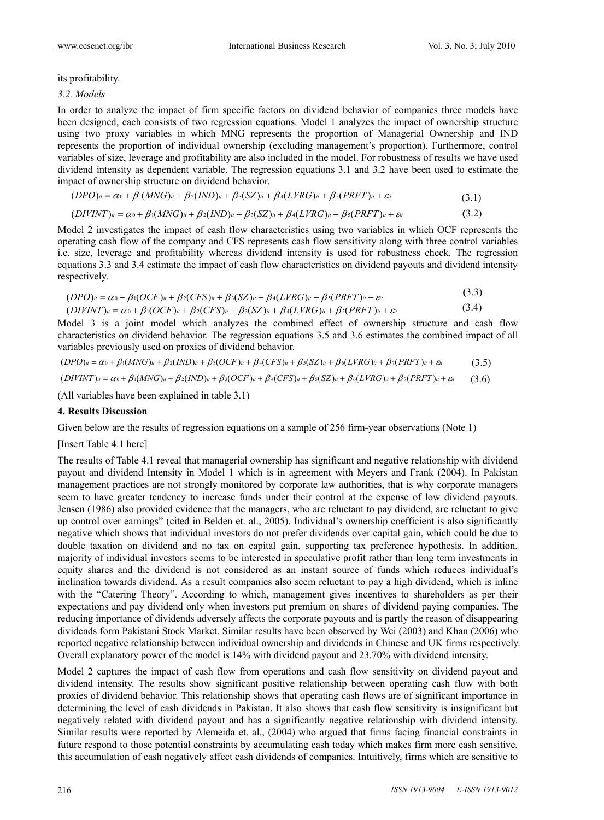its profitability.

*3.2. Models* 

In order to analyze the impact of firm specific factors on dividend behavior of companies three models have been designed, each consists of two regression equations. Model 1 analyzes the impact of ownership structure using two proxy variables in which MNG represents the proportion of Managerial Ownership and IND represents the proportion of individual ownership (excluding management's proportion). Furthermore, control variables of size, leverage and profitability are also included in the model. For robustness of results we have used dividend intensity as dependent variable. The regression equations 3.1 and 3.2 have been used to estimate the impact of ownership structure on dividend behavior.

$$
(DPO)it = \alpha_0 + \beta_1(MNG)it + \beta_2(IND)it + \beta_3(SZ)it + \beta_4(LVRG)it + \beta_5(PRFT)it + \varepsilon_t
$$
\n(3.1)

$$
(DIVINT)_{ii} = \alpha_0 + \beta_1(MNG)_{ii} + \beta_2(IND)_{ii} + \beta_3(SZ)_{ii} + \beta_4(LVRG)_{ii} + \beta_5(PRFT)_{ii} + \varepsilon_{ii}
$$
\n(3.2)

Model 2 investigates the impact of cash flow characteristics using two variables in which OCF represents the operating cash flow of the company and CFS represents cash flow sensitivity along with three control variables i.e. size, leverage and profitability whereas dividend intensity is used for robustness check. The regression equations 3.3 and 3.4 estimate the impact of cash flow characteristics on dividend payouts and dividend intensity respectively.

$$
(DPO)it = \alpha_0 + \beta_1 (OCF)it + \beta_2 (CFS)it + \beta_3 (SZ)it + \beta_4 (LVRG)it + \beta_5 (PRFT)it + \varepsilon_{it}
$$
\n(3.3)

$$
(DIVINT)_{ii} = \alpha_0 + \beta_1 (OCF)_{ii} + \beta_2 (CFS)_{ii} + \beta_3 (SZ)_{ii} + \beta_4 (LVRG)_{ii} + \beta_5 (PRFT)_{ii} + \varepsilon_{ii}
$$
\n(3.4)

Model 3 is a joint model which analyzes the combined effect of ownership structure and cash flow characteristics on dividend behavior. The regression equations 3.5 and 3.6 estimates the combined impact of all variables previously used on proxies of dividend behavior.

$$
(DPO)_{ii} = \alpha_0 + \beta_1(MNG)_{ii} + \beta_2(MD)_{ii} + \beta_3(OCF)_{ii} + \beta_4(CFS)_{ii} + \beta_5(SZ)_{ii} + \beta_6(LVRG)_{ii} + \beta_7(PRFT)_{ii} + \varepsilon_{ii}
$$
\n(3.5)

$$
(DIVINT)_{ii} = \alpha_0 + \beta_1(MNG)_{ii} + \beta_2(IND)_{ii} + \beta_3(OCF)_{ii} + \beta_4(CFS)_{ii} + \beta_5(SZ)_{ii} + \beta_6(LVRG)_{ii} + \beta_7(PRFT)_{ii} + \varepsilon_{ii}
$$
 (3.6)

(All variables have been explained in table 3.1)

#### **4. Results Discussion**

Given below are the results of regression equations on a sample of 256 firm-year observations (Note 1)

#### [Insert Table 4.1 here]

The results of Table 4.1 reveal that managerial ownership has significant and negative relationship with dividend payout and dividend Intensity in Model 1 which is in agreement with Meyers and Frank (2004). In Pakistan management practices are not strongly monitored by corporate law authorities, that is why corporate managers seem to have greater tendency to increase funds under their control at the expense of low dividend payouts. Jensen (1986) also provided evidence that the managers, who are reluctant to pay dividend, are reluctant to give up control over earnings" (cited in Belden et. al., 2005). Individual's ownership coefficient is also significantly negative which shows that individual investors do not prefer dividends over capital gain, which could be due to double taxation on dividend and no tax on capital gain, supporting tax preference hypothesis. In addition, majority of individual investors seems to be interested in speculative profit rather than long term investments in equity shares and the dividend is not considered as an instant source of funds which reduces individual's inclination towards dividend. As a result companies also seem reluctant to pay a high dividend, which is inline with the "Catering Theory". According to which, management gives incentives to shareholders as per their expectations and pay dividend only when investors put premium on shares of dividend paying companies. The reducing importance of dividends adversely affects the corporate payouts and is partly the reason of disappearing dividends form Pakistani Stock Market. Similar results have been observed by Wei (2003) and Khan (2006) who reported negative relationship between individual ownership and dividends in Chinese and UK firms respectively. Overall explanatory power of the model is 14% with dividend payout and 23.70% with dividend intensity.

Model 2 captures the impact of cash flow from operations and cash flow sensitivity on dividend payout and dividend intensity. The results show significant positive relationship between operating cash flow with both proxies of dividend behavior. This relationship shows that operating cash flows are of significant importance in determining the level of cash dividends in Pakistan. It also shows that cash flow sensitivity is insignificant but negatively related with dividend payout and has a significantly negative relationship with dividend intensity. Similar results were reported by Alemeida et. al., (2004) who argued that firms facing financial constraints in future respond to those potential constraints by accumulating cash today which makes firm more cash sensitive, this accumulation of cash negatively affect cash dividends of companies. Intuitively, firms which are sensitive to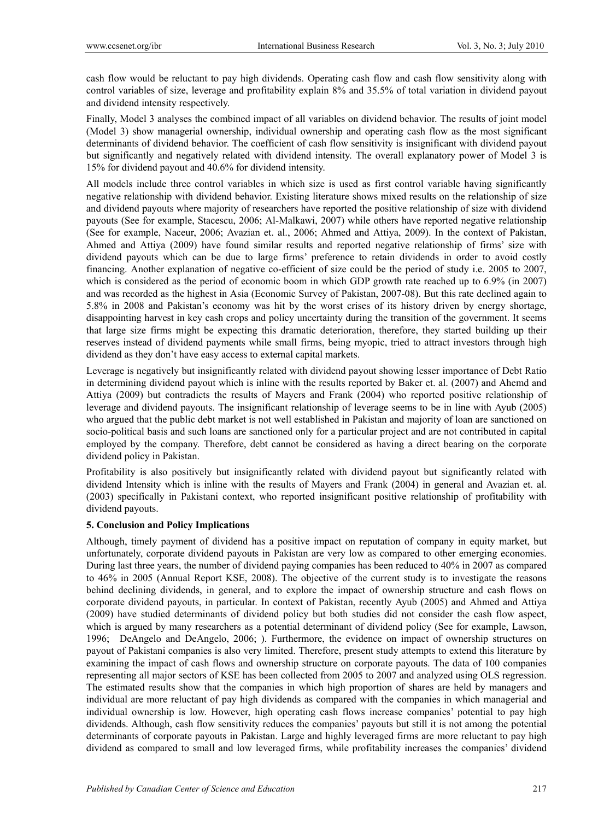cash flow would be reluctant to pay high dividends. Operating cash flow and cash flow sensitivity along with control variables of size, leverage and profitability explain 8% and 35.5% of total variation in dividend payout and dividend intensity respectively.

Finally, Model 3 analyses the combined impact of all variables on dividend behavior. The results of joint model (Model 3) show managerial ownership, individual ownership and operating cash flow as the most significant determinants of dividend behavior. The coefficient of cash flow sensitivity is insignificant with dividend payout but significantly and negatively related with dividend intensity. The overall explanatory power of Model 3 is 15% for dividend payout and 40.6% for dividend intensity.

All models include three control variables in which size is used as first control variable having significantly negative relationship with dividend behavior. Existing literature shows mixed results on the relationship of size and dividend payouts where majority of researchers have reported the positive relationship of size with dividend payouts (See for example, Stacescu, 2006; Al-Malkawi, 2007) while others have reported negative relationship (See for example, Naceur, 2006; Avazian et. al., 2006; Ahmed and Attiya, 2009). In the context of Pakistan, Ahmed and Attiya (2009) have found similar results and reported negative relationship of firms' size with dividend payouts which can be due to large firms' preference to retain dividends in order to avoid costly financing. Another explanation of negative co-efficient of size could be the period of study i.e. 2005 to 2007, which is considered as the period of economic boom in which GDP growth rate reached up to 6.9% (in 2007) and was recorded as the highest in Asia (Economic Survey of Pakistan, 2007-08). But this rate declined again to 5.8% in 2008 and Pakistan's economy was hit by the worst crises of its history driven by energy shortage, disappointing harvest in key cash crops and policy uncertainty during the transition of the government. It seems that large size firms might be expecting this dramatic deterioration, therefore, they started building up their reserves instead of dividend payments while small firms, being myopic, tried to attract investors through high dividend as they don't have easy access to external capital markets.

Leverage is negatively but insignificantly related with dividend payout showing lesser importance of Debt Ratio in determining dividend payout which is inline with the results reported by Baker et. al. (2007) and Ahemd and Attiya (2009) but contradicts the results of Mayers and Frank (2004) who reported positive relationship of leverage and dividend payouts. The insignificant relationship of leverage seems to be in line with Ayub (2005) who argued that the public debt market is not well established in Pakistan and majority of loan are sanctioned on socio-political basis and such loans are sanctioned only for a particular project and are not contributed in capital employed by the company. Therefore, debt cannot be considered as having a direct bearing on the corporate dividend policy in Pakistan.

Profitability is also positively but insignificantly related with dividend payout but significantly related with dividend Intensity which is inline with the results of Mayers and Frank (2004) in general and Avazian et. al. (2003) specifically in Pakistani context, who reported insignificant positive relationship of profitability with dividend payouts.

### **5. Conclusion and Policy Implications**

Although, timely payment of dividend has a positive impact on reputation of company in equity market, but unfortunately, corporate dividend payouts in Pakistan are very low as compared to other emerging economies. During last three years, the number of dividend paying companies has been reduced to 40% in 2007 as compared to 46% in 2005 (Annual Report KSE, 2008). The objective of the current study is to investigate the reasons behind declining dividends, in general, and to explore the impact of ownership structure and cash flows on corporate dividend payouts, in particular. In context of Pakistan, recently Ayub (2005) and Ahmed and Attiya (2009) have studied determinants of dividend policy but both studies did not consider the cash flow aspect, which is argued by many researchers as a potential determinant of dividend policy (See for example, Lawson, 1996; DeAngelo and DeAngelo, 2006; ). Furthermore, the evidence on impact of ownership structures on payout of Pakistani companies is also very limited. Therefore, present study attempts to extend this literature by examining the impact of cash flows and ownership structure on corporate payouts. The data of 100 companies representing all major sectors of KSE has been collected from 2005 to 2007 and analyzed using OLS regression. The estimated results show that the companies in which high proportion of shares are held by managers and individual are more reluctant of pay high dividends as compared with the companies in which managerial and individual ownership is low. However, high operating cash flows increase companies' potential to pay high dividends. Although, cash flow sensitivity reduces the companies' payouts but still it is not among the potential determinants of corporate payouts in Pakistan. Large and highly leveraged firms are more reluctant to pay high dividend as compared to small and low leveraged firms, while profitability increases the companies' dividend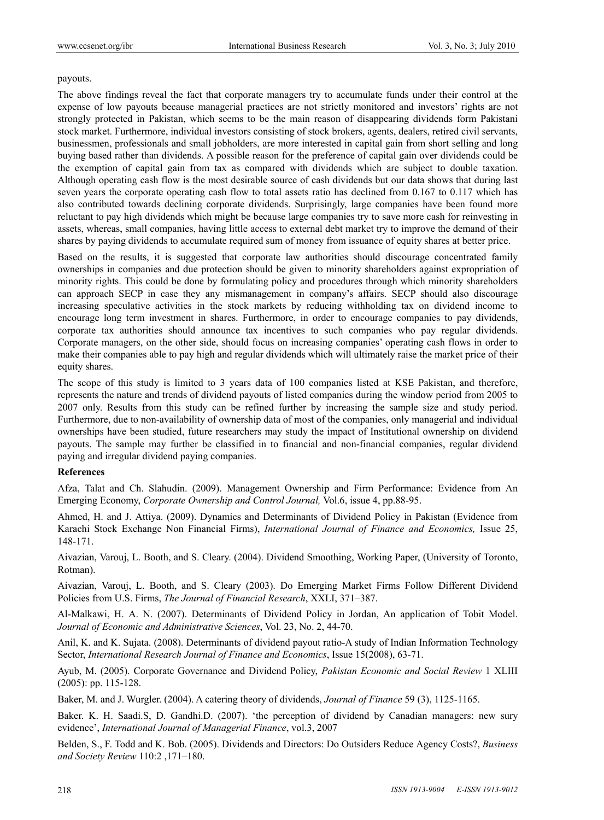# payouts.

The above findings reveal the fact that corporate managers try to accumulate funds under their control at the expense of low payouts because managerial practices are not strictly monitored and investors' rights are not strongly protected in Pakistan, which seems to be the main reason of disappearing dividends form Pakistani stock market. Furthermore, individual investors consisting of stock brokers, agents, dealers, retired civil servants, businessmen, professionals and small jobholders, are more interested in capital gain from short selling and long buying based rather than dividends. A possible reason for the preference of capital gain over dividends could be the exemption of capital gain from tax as compared with dividends which are subject to double taxation. Although operating cash flow is the most desirable source of cash dividends but our data shows that during last seven years the corporate operating cash flow to total assets ratio has declined from 0.167 to 0.117 which has also contributed towards declining corporate dividends. Surprisingly, large companies have been found more reluctant to pay high dividends which might be because large companies try to save more cash for reinvesting in assets, whereas, small companies, having little access to external debt market try to improve the demand of their shares by paying dividends to accumulate required sum of money from issuance of equity shares at better price.

Based on the results, it is suggested that corporate law authorities should discourage concentrated family ownerships in companies and due protection should be given to minority shareholders against expropriation of minority rights. This could be done by formulating policy and procedures through which minority shareholders can approach SECP in case they any mismanagement in company's affairs. SECP should also discourage increasing speculative activities in the stock markets by reducing withholding tax on dividend income to encourage long term investment in shares. Furthermore, in order to encourage companies to pay dividends, corporate tax authorities should announce tax incentives to such companies who pay regular dividends. Corporate managers, on the other side, should focus on increasing companies' operating cash flows in order to make their companies able to pay high and regular dividends which will ultimately raise the market price of their equity shares.

The scope of this study is limited to 3 years data of 100 companies listed at KSE Pakistan, and therefore, represents the nature and trends of dividend payouts of listed companies during the window period from 2005 to 2007 only. Results from this study can be refined further by increasing the sample size and study period. Furthermore, due to non-availability of ownership data of most of the companies, only managerial and individual ownerships have been studied, future researchers may study the impact of Institutional ownership on dividend payouts. The sample may further be classified in to financial and non-financial companies, regular dividend paying and irregular dividend paying companies.

### **References**

Afza, Talat and Ch. Slahudin. (2009). Management Ownership and Firm Performance: Evidence from An Emerging Economy, *Corporate Ownership and Control Journal,* Vol.6, issue 4, pp.88-95.

Ahmed, H. and J. Attiya. (2009). Dynamics and Determinants of Dividend Policy in Pakistan (Evidence from Karachi Stock Exchange Non Financial Firms), *International Journal of Finance and Economics,* Issue 25, 148-171.

Aivazian, Varouj, L. Booth, and S. Cleary. (2004). Dividend Smoothing, Working Paper, (University of Toronto, Rotman).

Aivazian, Varouj, L. Booth, and S. Cleary (2003). Do Emerging Market Firms Follow Different Dividend Policies from U.S. Firms, *The Journal of Financial Research*, XXLI, 371–387.

Al-Malkawi, H. A. N. (2007). Determinants of Dividend Policy in Jordan, An application of Tobit Model. *Journal of Economic and Administrative Sciences*, Vol. 23, No. 2, 44-70.

Anil, K. and K. Sujata. (2008). Determinants of dividend payout ratio-A study of Indian Information Technology Sector, *International Research Journal of Finance and Economics*, Issue 15(2008), 63-71.

Ayub, M. (2005). Corporate Governance and Dividend Policy, *Pakistan Economic and Social Review* 1 XLIII (2005): pp. 115-128.

Baker, M. and J. Wurgler. (2004). A catering theory of dividends, *Journal of Finance* 59 (3), 1125-1165.

Baker. K. H. Saadi.S, D. Gandhi.D. (2007). 'the perception of dividend by Canadian managers: new sury evidence', *International Journal of Managerial Finance*, vol.3, 2007

Belden, S., F. Todd and K. Bob. (2005). Dividends and Directors: Do Outsiders Reduce Agency Costs?, *Business and Society Review* 110:2 ,171–180.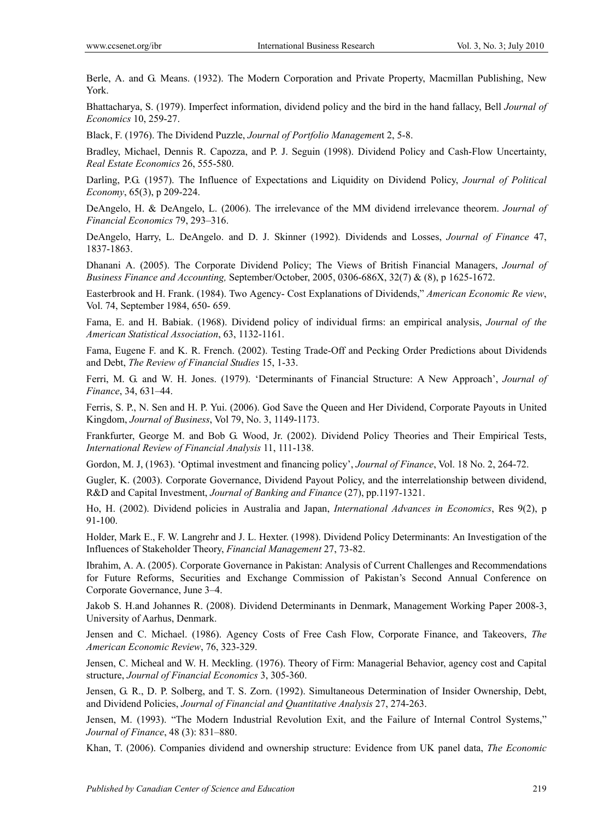Berle, A. and G. Means. (1932). The Modern Corporation and Private Property, Macmillan Publishing, New York.

Bhattacharya, S. (1979). Imperfect information, dividend policy and the bird in the hand fallacy, Bell *Journal of Economics* 10, 259-27.

Black, F. (1976). The Dividend Puzzle, *Journal of Portfolio Managemen*t 2, 5-8.

Bradley, Michael, Dennis R. Capozza, and P. J. Seguin (1998). Dividend Policy and Cash-Flow Uncertainty, *Real Estate Economics* 26, 555-580.

Darling, P.G. (1957). The Influence of Expectations and Liquidity on Dividend Policy, *Journal of Political Economy*, 65(3), p 209-224.

DeAngelo, H. & DeAngelo, L. (2006). The irrelevance of the MM dividend irrelevance theorem. *Journal of Financial Economics* 79, 293–316.

DeAngelo, Harry, L. DeAngelo. and D. J. Skinner (1992). Dividends and Losses, *Journal of Finance* 47, 1837-1863.

Dhanani A. (2005). The Corporate Dividend Policy; The Views of British Financial Managers, *Journal of Business Finance and Accounting,* September/October, 2005, 0306-686X, 32(7) & (8), p 1625-1672.

Easterbrook and H. Frank. (1984). Two Agency- Cost Explanations of Dividends," *American Economic Re view*, Vol. 74, September 1984, 650- 659.

Fama, E. and H. Babiak. (1968). Dividend policy of individual firms: an empirical analysis, *Journal of the American Statistical Association*, 63, 1132-1161.

Fama, Eugene F. and K. R. French. (2002). Testing Trade-Off and Pecking Order Predictions about Dividends and Debt, *The Review of Financial Studies* 15, 1-33.

Ferri, M. G. and W. H. Jones. (1979). 'Determinants of Financial Structure: A New Approach', *Journal of Finance*, 34, 631–44.

Ferris, S. P., N. Sen and H. P. Yui. (2006). God Save the Queen and Her Dividend, Corporate Payouts in United Kingdom, *Journal of Business*, Vol 79, No. 3, 1149-1173.

Frankfurter, George M. and Bob G. Wood, Jr. (2002). Dividend Policy Theories and Their Empirical Tests, *International Review of Financial Analysis* 11, 111-138.

Gordon, M. J, (1963). 'Optimal investment and financing policy', *Journal of Finance*, Vol. 18 No. 2, 264-72.

Gugler, K. (2003). Corporate Governance, Dividend Payout Policy, and the interrelationship between dividend, R&D and Capital Investment, *Journal of Banking and Finance* (27), pp.1197-1321.

Ho, H. (2002). Dividend policies in Australia and Japan, *International Advances in Economics*, Res 9(2), p 91-100.

Holder, Mark E., F. W. Langrehr and J. L. Hexter. (1998). Dividend Policy Determinants: An Investigation of the Influences of Stakeholder Theory, *Financial Management* 27, 73-82.

Ibrahim, A. A. (2005). Corporate Governance in Pakistan: Analysis of Current Challenges and Recommendations for Future Reforms, Securities and Exchange Commission of Pakistan's Second Annual Conference on Corporate Governance, June 3–4.

Jakob S. H.and Johannes R. (2008). Dividend Determinants in Denmark, Management Working Paper 2008-3, University of Aarhus, Denmark.

Jensen and C. Michael. (1986). Agency Costs of Free Cash Flow, Corporate Finance, and Takeovers, *The American Economic Review*, 76, 323-329.

Jensen, C. Micheal and W. H. Meckling. (1976). Theory of Firm: Managerial Behavior, agency cost and Capital structure, *Journal of Financial Economics* 3, 305-360.

Jensen, G. R., D. P. Solberg, and T. S. Zorn. (1992). Simultaneous Determination of Insider Ownership, Debt, and Dividend Policies, *Journal of Financial and Quantitative Analysis* 27, 274-263.

Jensen, M. (1993). "The Modern Industrial Revolution Exit, and the Failure of Internal Control Systems," *Journal of Finance*, 48 (3): 831–880.

Khan, T. (2006). Companies dividend and ownership structure: Evidence from UK panel data, *The Economic*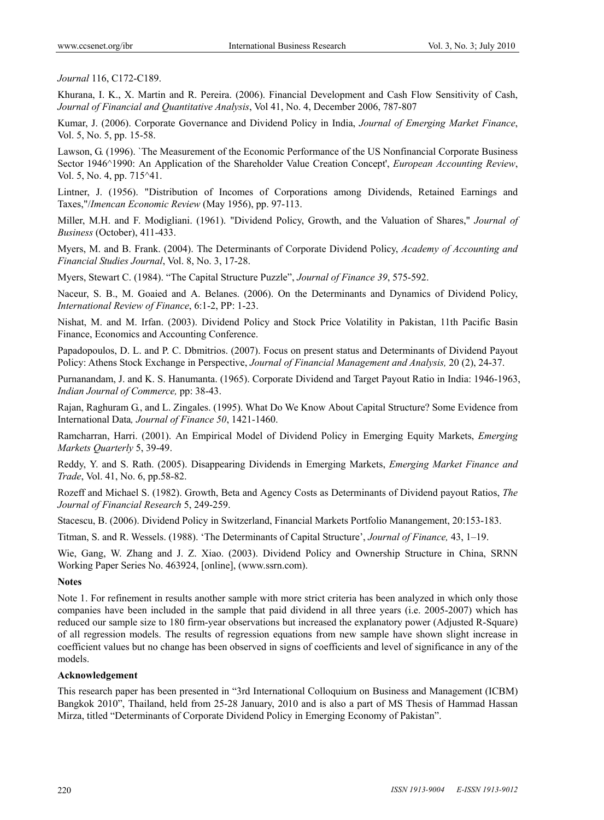*Journal* 116, C172-C189.

Khurana, I. K., X. Martin and R. Pereira. (2006). Financial Development and Cash Flow Sensitivity of Cash, *Journal of Financial and Quantitative Analysis*, Vol 41, No. 4, December 2006, 787-807

Kumar, J. (2006). Corporate Governance and Dividend Policy in India, *Journal of Emerging Market Finance*, Vol. 5, No. 5, pp. 15-58.

Lawson, G. (1996). `The Measurement of the Economic Performance of the US Nonfinancial Corporate Business Sector 1946^1990: An Application of the Shareholder Value Creation Concept', *European Accounting Review*, Vol. 5, No. 4, pp. 715^41.

Lintner, J. (1956). "Distribution of Incomes of Corporations among Dividends, Retained Earnings and Taxes,"/*Imencan Economic Review* (May 1956), pp. 97-113.

Miller, M.H. and F. Modigliani. (1961). "Dividend Policy, Growth, and the Valuation of Shares," *Journal of Business* (October), 411-433.

Myers, M. and B. Frank. (2004). The Determinants of Corporate Dividend Policy, *Academy of Accounting and Financial Studies Journal*, Vol. 8, No. 3, 17-28.

Myers, Stewart C. (1984). "The Capital Structure Puzzle", *Journal of Finance 39*, 575-592.

Naceur, S. B., M. Goaied and A. Belanes. (2006). On the Determinants and Dynamics of Dividend Policy, *International Review of Finance*, 6:1-2, PP: 1-23.

Nishat, M. and M. Irfan. (2003). Dividend Policy and Stock Price Volatility in Pakistan, 11th Pacific Basin Finance, Economics and Accounting Conference.

Papadopoulos, D. L. and P. C. Dbmitrios. (2007). Focus on present status and Determinants of Dividend Payout Policy: Athens Stock Exchange in Perspective, *Journal of Financial Management and Analysis,* 20 (2), 24-37.

Purnanandam, J. and K. S. Hanumanta. (1965). Corporate Dividend and Target Payout Ratio in India: 1946-1963, *Indian Journal of Commerce,* pp: 38-43.

Rajan, Raghuram G., and L. Zingales. (1995). What Do We Know About Capital Structure? Some Evidence from International Data*, Journal of Finance 50*, 1421-1460.

Ramcharran, Harri. (2001). An Empirical Model of Dividend Policy in Emerging Equity Markets, *Emerging Markets Quarterly* 5, 39-49.

Reddy, Y. and S. Rath. (2005). Disappearing Dividends in Emerging Markets, *Emerging Market Finance and Trade*, Vol. 41, No. 6, pp.58-82.

Rozeff and Michael S. (1982). Growth, Beta and Agency Costs as Determinants of Dividend payout Ratios, *The Journal of Financial Research* 5, 249-259.

Stacescu, B. (2006). Dividend Policy in Switzerland, Financial Markets Portfolio Manangement, 20:153-183.

Titman, S. and R. Wessels. (1988). 'The Determinants of Capital Structure', *Journal of Finance,* 43, 1–19.

Wie, Gang, W. Zhang and J. Z. Xiao. (2003). Dividend Policy and Ownership Structure in China, SRNN Working Paper Series No. 463924, [online], (www.ssrn.com).

#### **Notes**

Note 1. For refinement in results another sample with more strict criteria has been analyzed in which only those companies have been included in the sample that paid dividend in all three years (i.e. 2005-2007) which has reduced our sample size to 180 firm-year observations but increased the explanatory power (Adjusted R-Square) of all regression models. The results of regression equations from new sample have shown slight increase in coefficient values but no change has been observed in signs of coefficients and level of significance in any of the models.

## **Acknowledgement**

This research paper has been presented in "3rd International Colloquium on Business and Management (ICBM) Bangkok 2010", Thailand, held from 25-28 January, 2010 and is also a part of MS Thesis of Hammad Hassan Mirza, titled "Determinants of Corporate Dividend Policy in Emerging Economy of Pakistan".